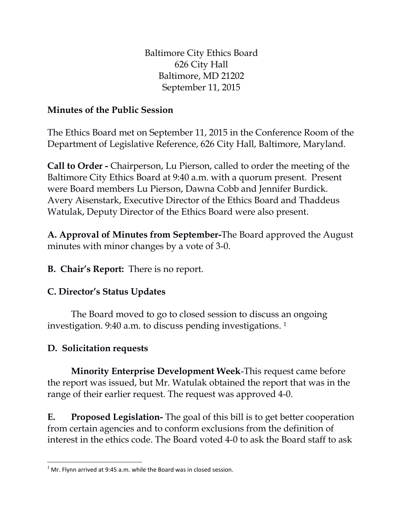Baltimore City Ethics Board 626 City Hall Baltimore, MD 21202 September 11, 2015

## **Minutes of the Public Session**

The Ethics Board met on September 11, 2015 in the Conference Room of the Department of Legislative Reference, 626 City Hall, Baltimore, Maryland.

**Call to Order -** Chairperson, Lu Pierson, called to order the meeting of the Baltimore City Ethics Board at 9:40 a.m. with a quorum present. Present were Board members Lu Pierson, Dawna Cobb and Jennifer Burdick. Avery Aisenstark, Executive Director of the Ethics Board and Thaddeus Watulak, Deputy Director of the Ethics Board were also present.

**A. Approval of Minutes from September-**The Board approved the August minutes with minor changes by a vote of 3-0.

**B. Chair's Report:** There is no report.

## **C. Director's Status Updates**

The Board moved to go to closed session to discuss an ongoing investigation. 9:40 a.m. to discuss pending investigations. 1

## **D. Solicitation requests**

**Minority Enterprise Development Week**-This request came before the report was issued, but Mr. Watulak obtained the report that was in the range of their earlier request. The request was approved 4-0.

**E. Proposed Legislation-** The goal of this bill is to get better cooperation from certain agencies and to conform exclusions from the definition of interest in the ethics code. The Board voted 4-0 to ask the Board staff to ask

 $\overline{a}$  $1$  Mr. Flynn arrived at 9:45 a.m. while the Board was in closed session.